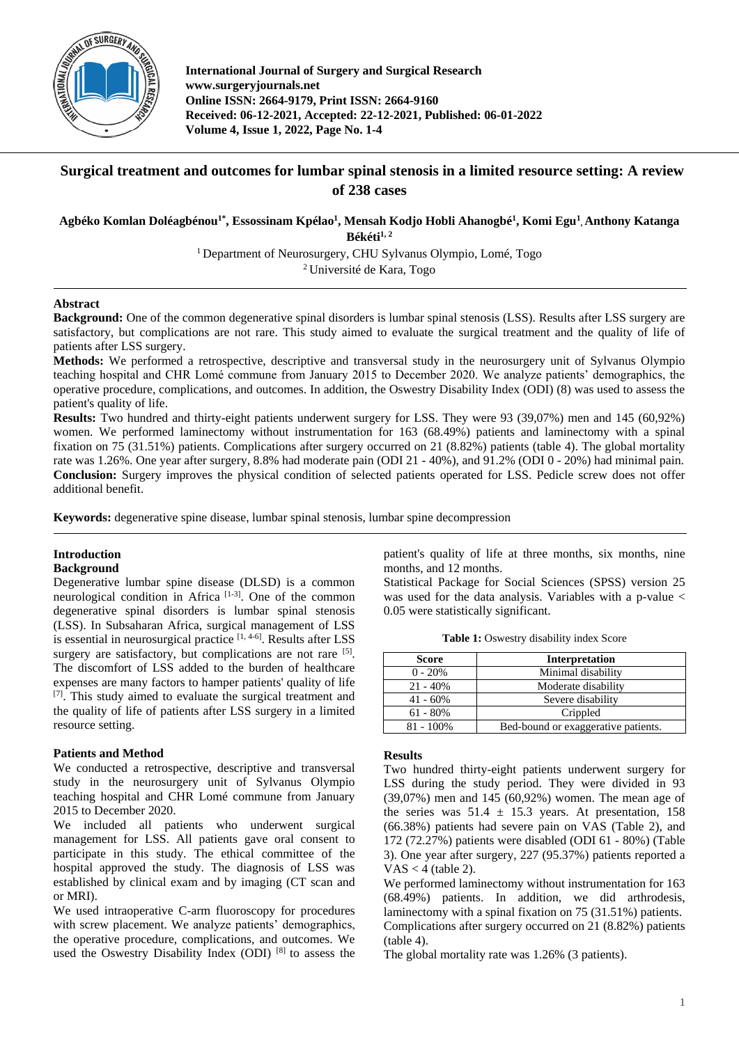

**International Journal of Surgery and Surgical Research www.surgeryjournals.net Online ISSN: 2664-9179, Print ISSN: 2664-9160 Received: 06-12-2021, Accepted: 22-12-2021, Published: 06-01-2022 Volume 4, Issue 1, 2022, Page No. 1-4**

# **Surgical treatment and outcomes for lumbar spinal stenosis in a limited resource setting: A review of 238 cases**

**Agbéko Komlan Doléagbénou1\*, Essossinam Kpélao<sup>1</sup> , Mensah Kodjo Hobli Ahanogbé<sup>1</sup> , Komi Egu<sup>1</sup> , Anthony Katanga** 

**Békéti1, <sup>2</sup>**

<sup>1</sup> Department of Neurosurgery, CHU Sylvanus Olympio, Lomé, Togo

<sup>2</sup>Université de Kara, Togo

## **Abstract**

**Background:** One of the common degenerative spinal disorders is lumbar spinal stenosis (LSS). Results after LSS surgery are satisfactory, but complications are not rare. This study aimed to evaluate the surgical treatment and the quality of life of patients after LSS surgery.

**Methods:** We performed a retrospective, descriptive and transversal study in the neurosurgery unit of Sylvanus Olympio teaching hospital and CHR Lomé commune from January 2015 to December 2020. We analyze patients' demographics, the operative procedure, complications, and outcomes. In addition, the Oswestry Disability Index (ODI) (8) was used to assess the patient's quality of life.

**Results:** Two hundred and thirty-eight patients underwent surgery for LSS. They were 93 (39,07%) men and 145 (60,92%) women. We performed laminectomy without instrumentation for 163 (68.49%) patients and laminectomy with a spinal fixation on 75 (31.51%) patients. Complications after surgery occurred on 21 (8.82%) patients (table 4). The global mortality rate was 1.26%. One year after surgery, 8.8% had moderate pain (ODI 21 - 40%), and 91.2% (ODI 0 - 20%) had minimal pain. **Conclusion:** Surgery improves the physical condition of selected patients operated for LSS. Pedicle screw does not offer additional benefit.

**Keywords:** degenerative spine disease, lumbar spinal stenosis, lumbar spine decompression

# **Introduction**

## **Background**

Degenerative lumbar spine disease (DLSD) is a common neurological condition in Africa<sup>[1-3]</sup>. One of the common degenerative spinal disorders is lumbar spinal stenosis (LSS). In Subsaharan Africa, surgical management of LSS is essential in neurosurgical practice  $[1, 4-6]$ . Results after LSS surgery are satisfactory, but complications are not rare [5]. The discomfort of LSS added to the burden of healthcare expenses are many factors to hamper patients' quality of life [7]. This study aimed to evaluate the surgical treatment and the quality of life of patients after LSS surgery in a limited resource setting.

## **Patients and Method**

We conducted a retrospective, descriptive and transversal study in the neurosurgery unit of Sylvanus Olympio teaching hospital and CHR Lomé commune from January 2015 to December 2020.

We included all patients who underwent surgical management for LSS. All patients gave oral consent to participate in this study. The ethical committee of the hospital approved the study. The diagnosis of LSS was established by clinical exam and by imaging (CT scan and or MRI).

We used intraoperative C-arm fluoroscopy for procedures with screw placement. We analyze patients' demographics, the operative procedure, complications, and outcomes. We used the Oswestry Disability Index (ODI)<sup>[8]</sup> to assess the patient's quality of life at three months, six months, nine months, and 12 months.

Statistical Package for Social Sciences (SPSS) version 25 was used for the data analysis. Variables with a p-value < 0.05 were statistically significant.

**Table 1:** Oswestry disability index Score

| <b>Score</b> | <b>Interpretation</b>               |  |  |
|--------------|-------------------------------------|--|--|
| $0 - 20%$    | Minimal disability                  |  |  |
| $21 - 40\%$  | Moderate disability                 |  |  |
| $41 - 60\%$  | Severe disability                   |  |  |
| $61 - 80\%$  | Crippled                            |  |  |
| $81 - 100\%$ | Bed-bound or exaggerative patients. |  |  |

#### **Results**

Two hundred thirty-eight patients underwent surgery for LSS during the study period. They were divided in 93 (39,07%) men and 145 (60,92%) women. The mean age of the series was  $51.4 \pm 15.3$  years. At presentation, 158 (66.38%) patients had severe pain on VAS (Table 2), and 172 (72.27%) patients were disabled (ODI 61 - 80%) (Table 3). One year after surgery, 227 (95.37%) patients reported a  $VAS < 4$  (table 2).

We performed laminectomy without instrumentation for 163 (68.49%) patients. In addition, we did arthrodesis, laminectomy with a spinal fixation on 75 (31.51%) patients. Complications after surgery occurred on 21 (8.82%) patients (table 4).

The global mortality rate was 1.26% (3 patients).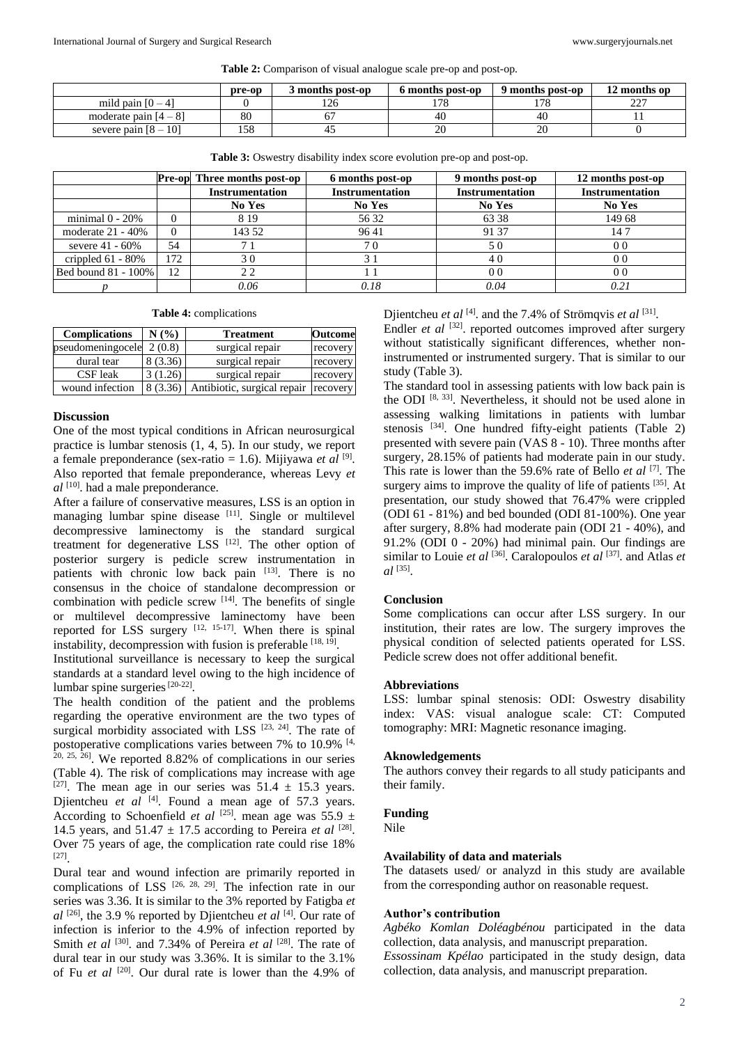**Table 2:** Comparison of visual analogue scale pre-op and post-op.

|                              | pre-op | months post-op | 6 months post-op | 9 months post-op | 12 months op |
|------------------------------|--------|----------------|------------------|------------------|--------------|
| mild pain $[0-4]$            |        | $\sim$<br>126  | 170              | 170<br>$10^{-7}$ | $\sim$<br>∼  |
| moderate pain $[4-8]$        | 80     |                | 40               | 40               |              |
| 101<br>severe pain $[8 - 1]$ | 158    |                | 20               | 20               |              |

|                      |          | <b>Pre-opl Three months post-op</b> | 6 months post-op       | 9 months post-op       | 12 months post-op      |
|----------------------|----------|-------------------------------------|------------------------|------------------------|------------------------|
|                      |          | <b>Instrumentation</b>              | <b>Instrumentation</b> | <b>Instrumentation</b> | <b>Instrumentation</b> |
|                      |          | No Yes                              | No Yes                 | No Yes                 | No Yes                 |
| minimal $0 - 20%$    | $\Omega$ | 8 1 9                               | 56 32                  | 63 38                  | 149 68                 |
| moderate $21 - 40\%$ | $\Omega$ | 143 52                              | 9641                   | 91 37                  | 14 7                   |
| severe $41 - 60\%$   | 54       |                                     | 70                     | 50                     | 0 <sub>0</sub>         |
| crippled $61 - 80\%$ | 172      | 30                                  |                        | 40                     | 0 <sub>0</sub>         |
| Bed bound 81 - 100%  | 12       | 22                                  |                        | 0 <sub>0</sub>         | 0 <sub>0</sub>         |
|                      |          | 0.06                                | 0.18                   | 0.04                   | 0.21                   |

**Table 3:** Oswestry disability index score evolution pre-op and post-op.

**Table 4:** complications

| <b>Complications</b> | N(%)     | <b>Treatment</b>                     | <b>Outcome</b> |
|----------------------|----------|--------------------------------------|----------------|
| pseudomeningocele    | 2(0.8)   | surgical repair                      | recovery       |
| dural tear           | 8 (3.36) | surgical repair                      | recovery       |
| CSF leak             | 3(1.26)  | surgical repair                      | recovery       |
| wound infection      | 8 (3.36) | Antibiotic, surgical repair recovery |                |

#### **Discussion**

One of the most typical conditions in African neurosurgical practice is lumbar stenosis (1, 4, 5). In our study, we report a female preponderance (sex-ratio = 1.6). Mijiyawa *et al* [9] . Also reported that female preponderance, whereas Levy *et al* [10] . had a male preponderance.

After a failure of conservative measures, LSS is an option in managing lumbar spine disease  $[11]$ . Single or multilevel decompressive laminectomy is the standard surgical treatment for degenerative LSS [12]. The other option of posterior surgery is pedicle screw instrumentation in patients with chronic low back pain [13]. There is no consensus in the choice of standalone decompression or combination with pedicle screw  $[14]$ . The benefits of single or multilevel decompressive laminectomy have been reported for LSS surgery  $[12, 15-17]$ . When there is spinal instability, decompression with fusion is preferable  $[18, 19]$ .

Institutional surveillance is necessary to keep the surgical standards at a standard level owing to the high incidence of lumbar spine surgeries<sup>[20-22]</sup>.

The health condition of the patient and the problems regarding the operative environment are the two types of surgical morbidity associated with LSS  $[23, 24]$ . The rate of postoperative complications varies between 7% to 10.9% [4, 20, 25, 26] . We reported 8.82% of complications in our series (Table 4). The risk of complications may increase with age <sup>[27]</sup>. The mean age in our series was  $51.4 \pm 15.3$  years. Djientcheu *et al* <sup>[4]</sup>. Found a mean age of 57.3 years. According to Schoenfield *et al* <sup>[25]</sup>. mean age was 55.9  $\pm$ 14.5 years, and  $51.47 \pm 17.5$  according to Pereira *et al* <sup>[28]</sup>. Over 75 years of age, the complication rate could rise 18% [27] .

Dural tear and wound infection are primarily reported in complications of LSS  $[26, 28, 29]$ . The infection rate in our series was 3.36. It is similar to the 3% reported by Fatigba *et*   $al$  <sup>[26]</sup>, the 3.9 % reported by Djientcheu *et al* [4]. Our rate of infection is inferior to the 4.9% of infection reported by Smith *et al* [30]. and 7.34% of Pereira *et al* [28]. The rate of dural tear in our study was 3.36%. It is similar to the 3.1% of Fu *et al* [20] . Our dural rate is lower than the 4.9% of Djientcheu *et al* [4]. and the 7.4% of Strömqvis *et al* [31].

Endler *et al* [32]. reported outcomes improved after surgery without statistically significant differences, whether noninstrumented or instrumented surgery. That is similar to our study (Table 3).

The standard tool in assessing patients with low back pain is the ODI <sup>[8, 33]</sup>. Nevertheless, it should not be used alone in assessing walking limitations in patients with lumbar stenosis <sup>[34]</sup>. One hundred fifty-eight patients (Table 2) presented with severe pain (VAS 8 - 10). Three months after surgery, 28.15% of patients had moderate pain in our study. This rate is lower than the 59.6% rate of Bello *et al* [7] . The surgery aims to improve the quality of life of patients [35]. At presentation, our study showed that 76.47% were crippled (ODI 61 - 81%) and bed bounded (ODI 81-100%). One year after surgery, 8.8% had moderate pain (ODI 21 - 40%), and 91.2% (ODI 0 - 20%) had minimal pain. Our findings are similar to Louie *et al* <sup>[36]</sup>. Caralopoulos *et al* <sup>[37]</sup>, and Atlas *et al* [35] .

#### **Conclusion**

Some complications can occur after LSS surgery. In our institution, their rates are low. The surgery improves the physical condition of selected patients operated for LSS. Pedicle screw does not offer additional benefit.

#### **Abbreviations**

LSS: lumbar spinal stenosis: ODI: Oswestry disability index: VAS: visual analogue scale: CT: Computed tomography: MRI: Magnetic resonance imaging.

#### **Aknowledgements**

The authors convey their regards to all study paticipants and their family.

#### **Funding**

Nile

#### **Availability of data and materials**

The datasets used/ or analyzd in this study are available from the corresponding author on reasonable request.

#### **Author's contribution**

*Agbéko Komlan Doléagbénou* participated in the data collection, data analysis, and manuscript preparation.

*Essossinam Kpélao* participated in the study design, data collection, data analysis, and manuscript preparation.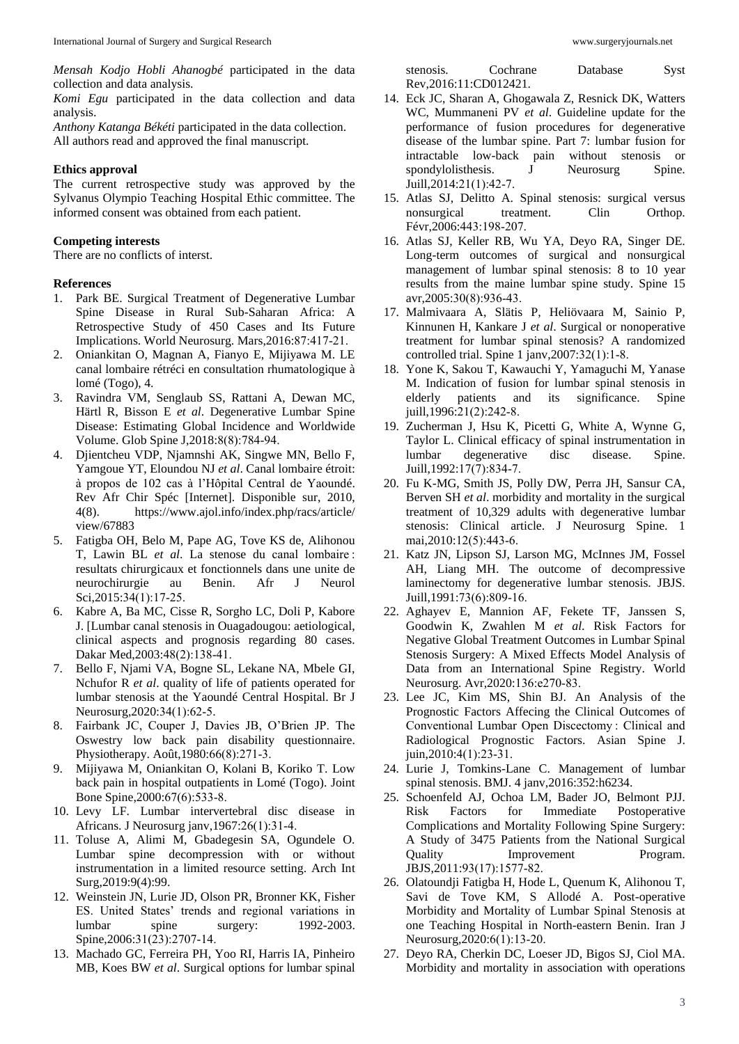*Komi Egu* participated in the data collection and data analysis.

*Anthony Katanga Békéti* participated in the data collection. All authors read and approved the final manuscript.

### **Ethics approval**

The current retrospective study was approved by the Sylvanus Olympio Teaching Hospital Ethic committee. The informed consent was obtained from each patient.

## **Competing interests**

There are no conflicts of interst.

#### **References**

- 1. Park BE. Surgical Treatment of Degenerative Lumbar Spine Disease in Rural Sub-Saharan Africa: A Retrospective Study of 450 Cases and Its Future Implications. World Neurosurg. Mars,2016:87:417‑21.
- 2. Oniankitan O, Magnan A, Fianyo E, Mijiyawa M. LE canal lombaire rétréci en consultation rhumatologique à lomé (Togo), 4.
- 3. Ravindra VM, Senglaub SS, Rattani A, Dewan MC, Härtl R, Bisson E *et al*. Degenerative Lumbar Spine Disease: Estimating Global Incidence and Worldwide Volume. Glob Spine J,2018:8(8):784‑94.
- 4. Djientcheu VDP, Njamnshi AK, Singwe MN, Bello F, Yamgoue YT, Eloundou NJ *et al*. Canal lombaire étroit: à propos de 102 cas à l'Hôpital Central de Yaoundé. Rev Afr Chir Spéc [Internet]. Disponible sur, 2010, 4(8). https://www.ajol.info/index.php/racs/article/ view/67883
- 5. Fatigba OH, Belo M, Pape AG, Tove KS de, Alihonou T, Lawin BL *et al*. La stenose du canal lombaire : resultats chirurgicaux et fonctionnels dans une unite de neurochirurgie au Benin. Afr J Neurol Sci, 2015:34(1):17-25.
- 6. Kabre A, Ba MC, Cisse R, Sorgho LC, Doli P, Kabore J. [Lumbar canal stenosis in Ouagadougou: aetiological, clinical aspects and prognosis regarding 80 cases. Dakar Med,2003:48(2):138‑41.
- 7. Bello F, Njami VA, Bogne SL, Lekane NA, Mbele GI, Nchufor R *et al*. quality of life of patients operated for lumbar stenosis at the Yaoundé Central Hospital. Br J Neurosurg, 2020: 34(1): 62-5.
- 8. Fairbank JC, Couper J, Davies JB, O'Brien JP. The Oswestry low back pain disability questionnaire. Physiotherapy. Août,1980:66(8):271‑3.
- 9. Mijiyawa M, Oniankitan O, Kolani B, Koriko T. Low back pain in hospital outpatients in Lomé (Togo). Joint Bone Spine,2000:67(6):533‑8.
- 10. Levy LF. Lumbar intervertebral disc disease in Africans. J Neurosurg janv,1967:26(1):31‑4.
- 11. Toluse A, Alimi M, Gbadegesin SA, Ogundele O. Lumbar spine decompression with or without instrumentation in a limited resource setting. Arch Int Surg, 2019: 9(4): 99.
- 12. Weinstein JN, Lurie JD, Olson PR, Bronner KK, Fisher ES. United States' trends and regional variations in lumbar spine surgery: 1992-2003. Spine, 2006: 31(23): 2707-14.
- 13. Machado GC, Ferreira PH, Yoo RI, Harris IA, Pinheiro MB, Koes BW *et al*. Surgical options for lumbar spinal

stenosis. Cochrane Database Syst Rev,2016:11:CD012421.

- 14. Eck JC, Sharan A, Ghogawala Z, Resnick DK, Watters WC, Mummaneni PV *et al*. Guideline update for the performance of fusion procedures for degenerative disease of the lumbar spine. Part 7: lumbar fusion for intractable low-back pain without stenosis or spondylolisthesis. J Neurosurg Spine. Juill,2014:21(1):42‑7.
- 15. Atlas SJ, Delitto A. Spinal stenosis: surgical versus nonsurgical treatment. Clin Orthop. Févr,2006:443:198-207.
- 16. Atlas SJ, Keller RB, Wu YA, Deyo RA, Singer DE. Long-term outcomes of surgical and nonsurgical management of lumbar spinal stenosis: 8 to 10 year results from the maine lumbar spine study. Spine 15 avr,2005:30(8):936‑43.
- 17. Malmivaara A, Slätis P, Heliövaara M, Sainio P, Kinnunen H, Kankare J *et al*. Surgical or nonoperative treatment for lumbar spinal stenosis? A randomized controlled trial. Spine 1 janv,2007:32(1):1‑8.
- 18. Yone K, Sakou T, Kawauchi Y, Yamaguchi M, Yanase M. Indication of fusion for lumbar spinal stenosis in elderly patients and its significance. Spine juill,1996:21(2):242‑8.
- 19. Zucherman J, Hsu K, Picetti G, White A, Wynne G, Taylor L. Clinical efficacy of spinal instrumentation in lumbar degenerative disc disease. Spine. Juill,1992:17(7):834‑7.
- 20. Fu K-MG, Smith JS, Polly DW, Perra JH, Sansur CA, Berven SH *et al*. morbidity and mortality in the surgical treatment of 10,329 adults with degenerative lumbar stenosis: Clinical article. J Neurosurg Spine. 1 mai,2010:12(5):443‑6.
- 21. Katz JN, Lipson SJ, Larson MG, McInnes JM, Fossel AH, Liang MH. The outcome of decompressive laminectomy for degenerative lumbar stenosis. JBJS. Juill,1991:73(6):809-16.
- 22. Aghayev E, Mannion AF, Fekete TF, Janssen S, Goodwin K, Zwahlen M *et al*. Risk Factors for Negative Global Treatment Outcomes in Lumbar Spinal Stenosis Surgery: A Mixed Effects Model Analysis of Data from an International Spine Registry. World Neurosurg. Avr,2020:136:e270‑83.
- 23. Lee JC, Kim MS, Shin BJ. An Analysis of the Prognostic Factors Affecing the Clinical Outcomes of Conventional Lumbar Open Discectomy : Clinical and Radiological Prognostic Factors. Asian Spine J. juin,2010:4(1):23‑31.
- 24. Lurie J, Tomkins-Lane C. Management of lumbar spinal stenosis. BMJ. 4 janv,2016:352:h6234.
- 25. Schoenfeld AJ, Ochoa LM, Bader JO, Belmont PJJ. Risk Factors for Immediate Postoperative Complications and Mortality Following Spine Surgery: A Study of 3475 Patients from the National Surgical Quality Improvement Program. JBJS,2011:93(17):1577‑82.
- 26. Olatoundji Fatigba H, Hode L, Quenum K, Alihonou T, Savi de Tove KM, S Allodé A. Post-operative Morbidity and Mortality of Lumbar Spinal Stenosis at one Teaching Hospital in North-eastern Benin. Iran J Neurosurg,2020:6(1):13‑20.
- 27. Deyo RA, Cherkin DC, Loeser JD, Bigos SJ, Ciol MA. Morbidity and mortality in association with operations